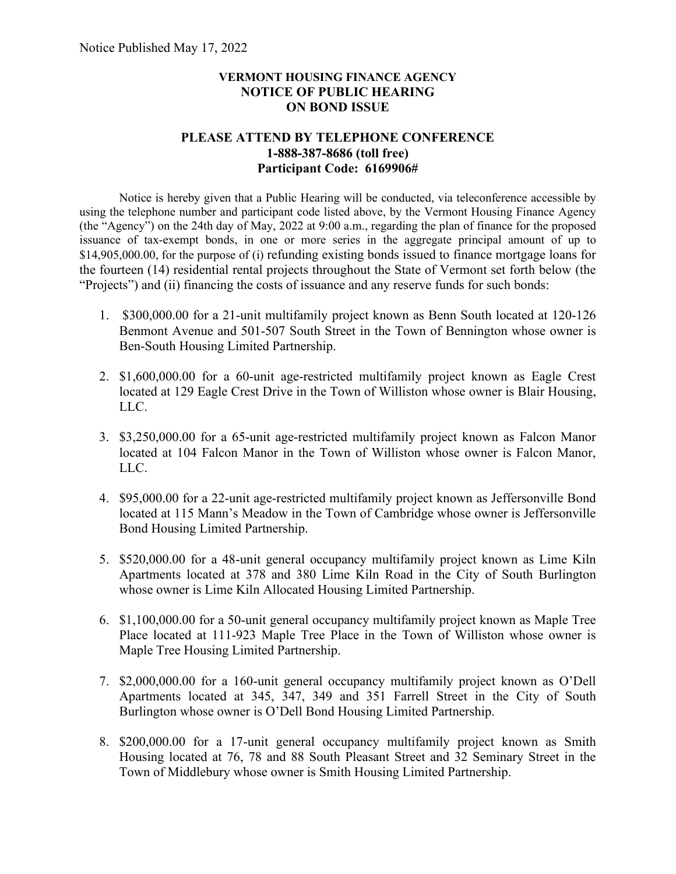## **VERMONT HOUSING FINANCE AGENCY NOTICE OF PUBLIC HEARING ON BOND ISSUE**

## **PLEASE ATTEND BY TELEPHONE CONFERENCE 1-888-387-8686 (toll free) Participant Code: 6169906#**

Notice is hereby given that a Public Hearing will be conducted, via teleconference accessible by using the telephone number and participant code listed above, by the Vermont Housing Finance Agency (the "Agency") on the 24th day of May, 2022 at 9:00 a.m., regarding the plan of finance for the proposed issuance of tax-exempt bonds, in one or more series in the aggregate principal amount of up to \$14,905,000.00, for the purpose of (i) refunding existing bonds issued to finance mortgage loans for the fourteen (14) residential rental projects throughout the State of Vermont set forth below (the "Projects") and (ii) financing the costs of issuance and any reserve funds for such bonds:

- 1. \$300,000.00 for a 21-unit multifamily project known as Benn South located at 120-126 Benmont Avenue and 501-507 South Street in the Town of Bennington whose owner is Ben-South Housing Limited Partnership.
- 2. \$1,600,000.00 for a 60-unit age-restricted multifamily project known as Eagle Crest located at 129 Eagle Crest Drive in the Town of Williston whose owner is Blair Housing, LLC.
- 3. \$3,250,000.00 for a 65-unit age-restricted multifamily project known as Falcon Manor located at 104 Falcon Manor in the Town of Williston whose owner is Falcon Manor, LLC.
- 4. \$95,000.00 for a 22-unit age-restricted multifamily project known as Jeffersonville Bond located at 115 Mann's Meadow in the Town of Cambridge whose owner is Jeffersonville Bond Housing Limited Partnership.
- 5. \$520,000.00 for a 48-unit general occupancy multifamily project known as Lime Kiln Apartments located at 378 and 380 Lime Kiln Road in the City of South Burlington whose owner is Lime Kiln Allocated Housing Limited Partnership.
- 6. \$1,100,000.00 for a 50-unit general occupancy multifamily project known as Maple Tree Place located at 111-923 Maple Tree Place in the Town of Williston whose owner is Maple Tree Housing Limited Partnership.
- 7. \$2,000,000.00 for a 160-unit general occupancy multifamily project known as O'Dell Apartments located at 345, 347, 349 and 351 Farrell Street in the City of South Burlington whose owner is O'Dell Bond Housing Limited Partnership.
- 8. \$200,000.00 for a 17-unit general occupancy multifamily project known as Smith Housing located at 76, 78 and 88 South Pleasant Street and 32 Seminary Street in the Town of Middlebury whose owner is Smith Housing Limited Partnership.